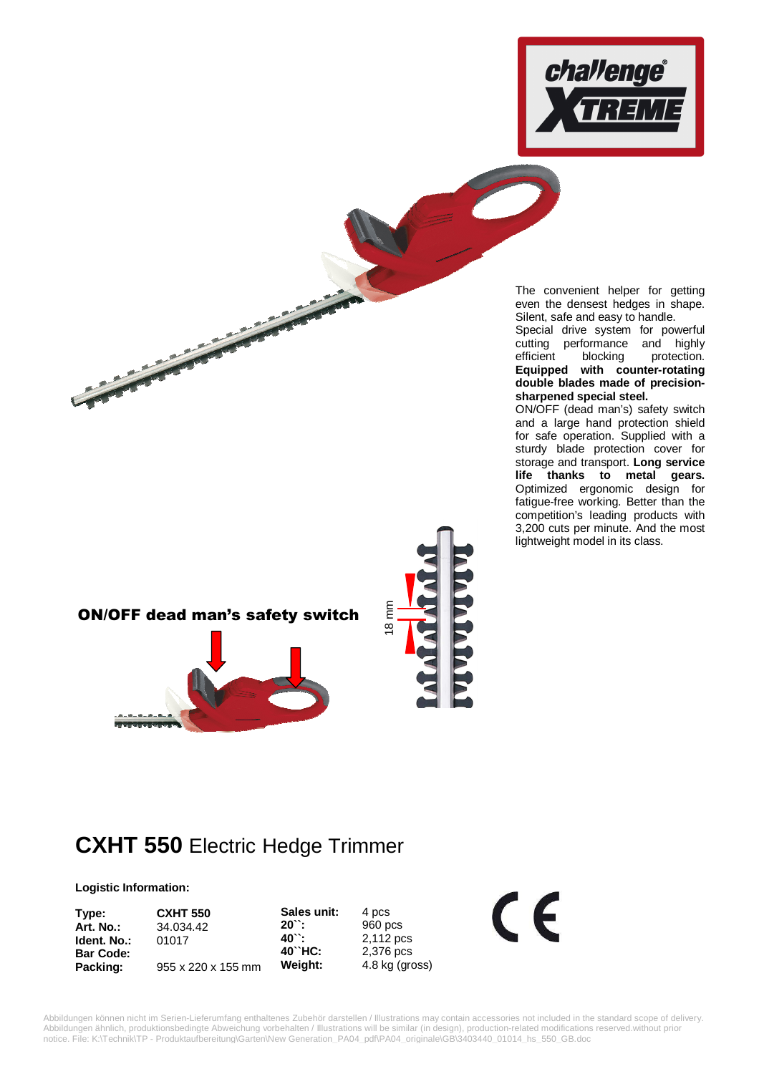

The convenient helper for getting even the densest hedges in shape. Silent, safe and easy to handle.

Special drive system for powerful cutting performance and highly efficient blocking protection. **Equipped with counter-rotating double blades made of precisionsharpened special steel.**

ON/OFF (dead man's) safety switch and a large hand protection shield for safe operation. Supplied with a sturdy blade protection cover for storage and transport. **Long service life thanks to metal gears.** Optimized ergonomic design for fatigue-free working. Better than the competition's leading products with 3,200 cuts per minute. And the most lightweight model in its class.

8 mm ON/OFF dead man's safety switch **RECEIVED** 

## **CXHT 550** Electric Hedge Trimmer

## **Logistic Information:**

**Sales unit:** 4 pcs<br>**20``:** 960 p **20``:** 960 pcs **40``:** 2,112 pcs<br>**40``HC:** 2,376 pcs **40``HC:** 2,376 pcs **Weight:** 4.8 kg (gross) **Type: CXHT 550 Art. No.:** 34.034.42 **Ident. No.:** 01017 **Bar Code: Packing:** 955 x 220 x 155 mm

Abbildungen können nicht im Serien-Lieferumfang enthaltenes Zubehör darstellen / Illustrations may contain accessories not included in the standard scope of delivery. Abbildungen ähnlich, produktionsbedingte Abweichung vorbehalten / Illustrations will be similar (in design), production-related modifications reserved.without prior notice. File: K:\Technik\TP - Produktaufbereitung\Garten\New Generation\_PA04\_pdf\PA04\_originale\GB\3403440\_01014\_hs\_550\_GB.doc